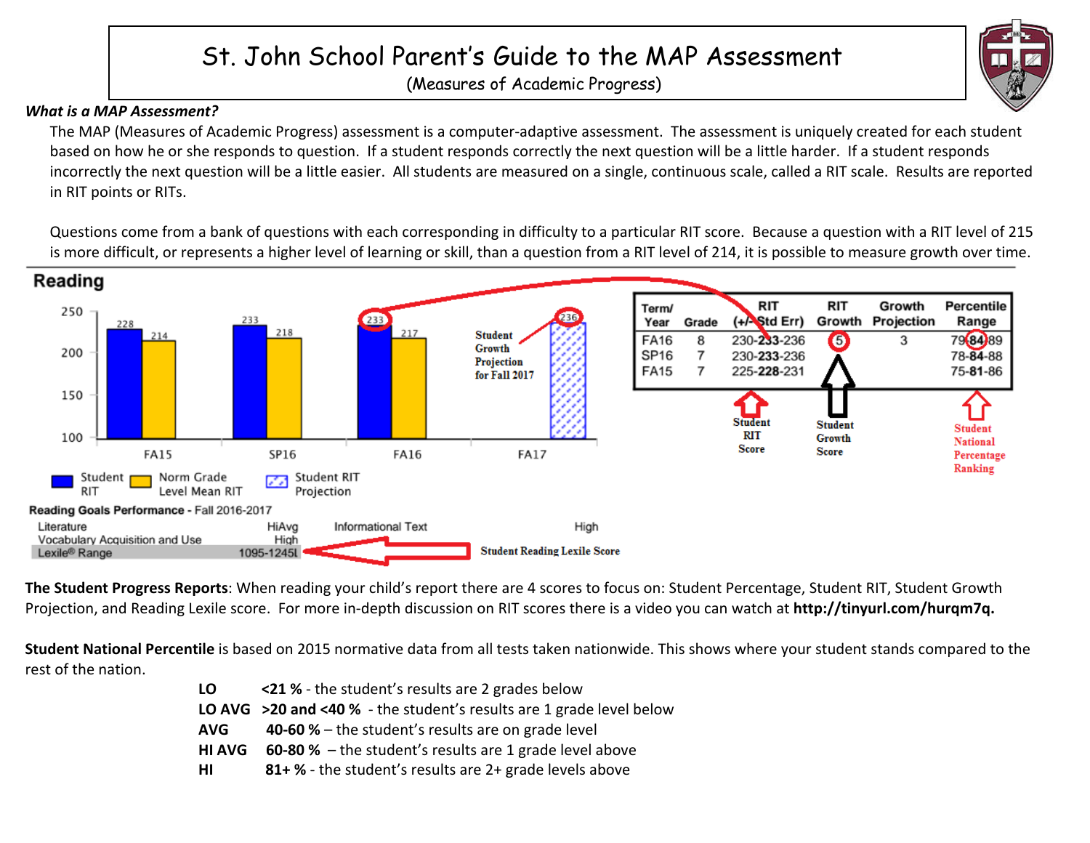# St. John School Parent's Guide to the MAP Assessment

(Measures of Academic Progress)

# *What is a MAP Assessment?*

The MAP (Measures of Academic Progress) assessment is a computer-adaptive assessment. The assessment is uniquely created for each student based on how he or she responds to question. If a student responds correctly the next question will be a little harder. If a student responds incorrectly the next question will be a little easier. All students are measured on a single, continuous scale, called a RIT scale. Results are reported in RIT points or RITs.

Questions come from a bank of questions with each corresponding in difficulty to a particular RIT score. Because a question with a RIT level of 215 is more difficult, or represents a higher level of learning or skill, than a question from a RIT level of 214, it is possible to measure growth over time.



The Student Progress Reports: When reading your child's report there are 4 scores to focus on: Student Percentage, Student RIT, Student Growth Projection, and Reading Lexile score. For more in-depth discussion on RIT scores there is a video you can watch at http://tinyurl.com/hurqm7q.

**Student National Percentile** is based on 2015 normative data from all tests taken nationwide. This shows where your student stands compared to the rest of the nation.

| LO.           | <21 % - the student's results are 2 grades below                        |  |  |
|---------------|-------------------------------------------------------------------------|--|--|
|               | LO AVG $>$ 20 and <40 % - the student's results are 1 grade level below |  |  |
| <b>AVG</b>    | <b>40-60 % – the student's results are on grade level</b>               |  |  |
| <b>HI AVG</b> | <b>60-80 %</b> – the student's results are 1 grade level above          |  |  |
| HI            | 81+ % - the student's results are 2+ grade levels above                 |  |  |

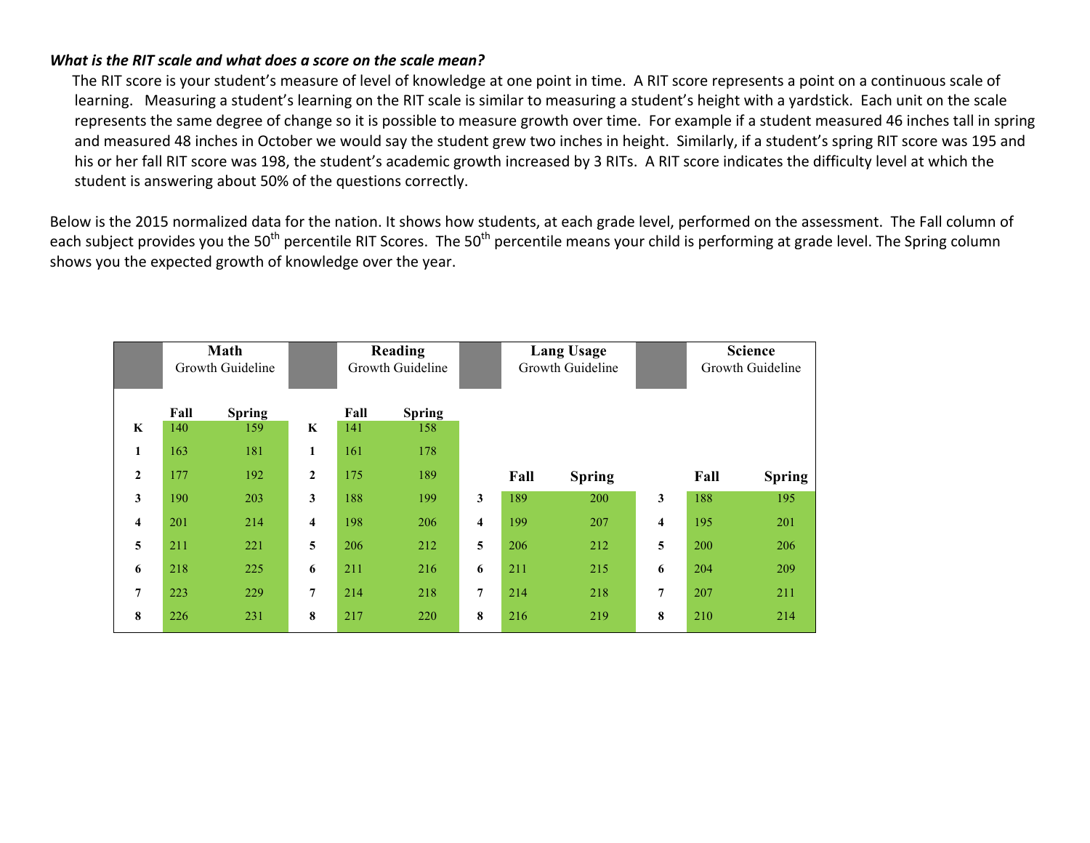## *What is the RIT scale and what does a score on the scale mean?*

The RIT score is your student's measure of level of knowledge at one point in time. A RIT score represents a point on a continuous scale of learning. Measuring a student's learning on the RIT scale is similar to measuring a student's height with a yardstick. Each unit on the scale represents the same degree of change so it is possible to measure growth over time. For example if a student measured 46 inches tall in spring and measured 48 inches in October we would say the student grew two inches in height. Similarly, if a student's spring RIT score was 195 and his or her fall RIT score was 198, the student's academic growth increased by 3 RITs. A RIT score indicates the difficulty level at which the student is answering about 50% of the questions correctly.

Below is the 2015 normalized data for the nation. It shows how students, at each grade level, performed on the assessment. The Fall column of each subject provides you the 50<sup>th</sup> percentile RIT Scores. The 50<sup>th</sup> percentile means your child is performing at grade level. The Spring column shows you the expected growth of knowledge over the year.

|                         | Math<br>Growth Guideline |               |                         | Reading<br>Growth Guideline |               |                | <b>Lang Usage</b><br>Growth Guideline |               |   | <b>Science</b><br>Growth Guideline |               |
|-------------------------|--------------------------|---------------|-------------------------|-----------------------------|---------------|----------------|---------------------------------------|---------------|---|------------------------------------|---------------|
|                         | Fall                     | <b>Spring</b> |                         | Fall                        | <b>Spring</b> |                |                                       |               |   |                                    |               |
| $\bf K$                 | 140                      | 159           | $\bf K$                 | 141                         | 158           |                |                                       |               |   |                                    |               |
| $\mathbf{1}$            | 163                      | 181           | 1                       | 161                         | 178           |                |                                       |               |   |                                    |               |
| $\mathbf{2}$            | 177                      | 192           | $\overline{2}$          | 175                         | 189           |                | Fall                                  | <b>Spring</b> |   | Fall                               | <b>Spring</b> |
| 3                       | 190                      | 203           | 3                       | 188                         | 199           | 3              | 189                                   | 200           | 3 | 188                                | 195           |
| $\overline{\mathbf{4}}$ | 201                      | 214           | $\overline{\mathbf{4}}$ | 198                         | 206           | 4              | 199                                   | 207           | 4 | 195                                | 201           |
| 5                       | 211                      | 221           | 5                       | 206                         | 212           | 5              | 206                                   | 212           | 5 | 200                                | 206           |
| 6                       | 218                      | 225           | 6                       | 211                         | 216           | 6              | 211                                   | 215           | 6 | 204                                | 209           |
| $\overline{7}$          | 223                      | 229           | $\overline{7}$          | 214                         | 218           | $\overline{7}$ | 214                                   | 218           | 7 | 207                                | 211           |
| 8                       | 226                      | 231           | 8                       | 217                         | 220           | 8              | 216                                   | 219           | 8 | 210                                | 214           |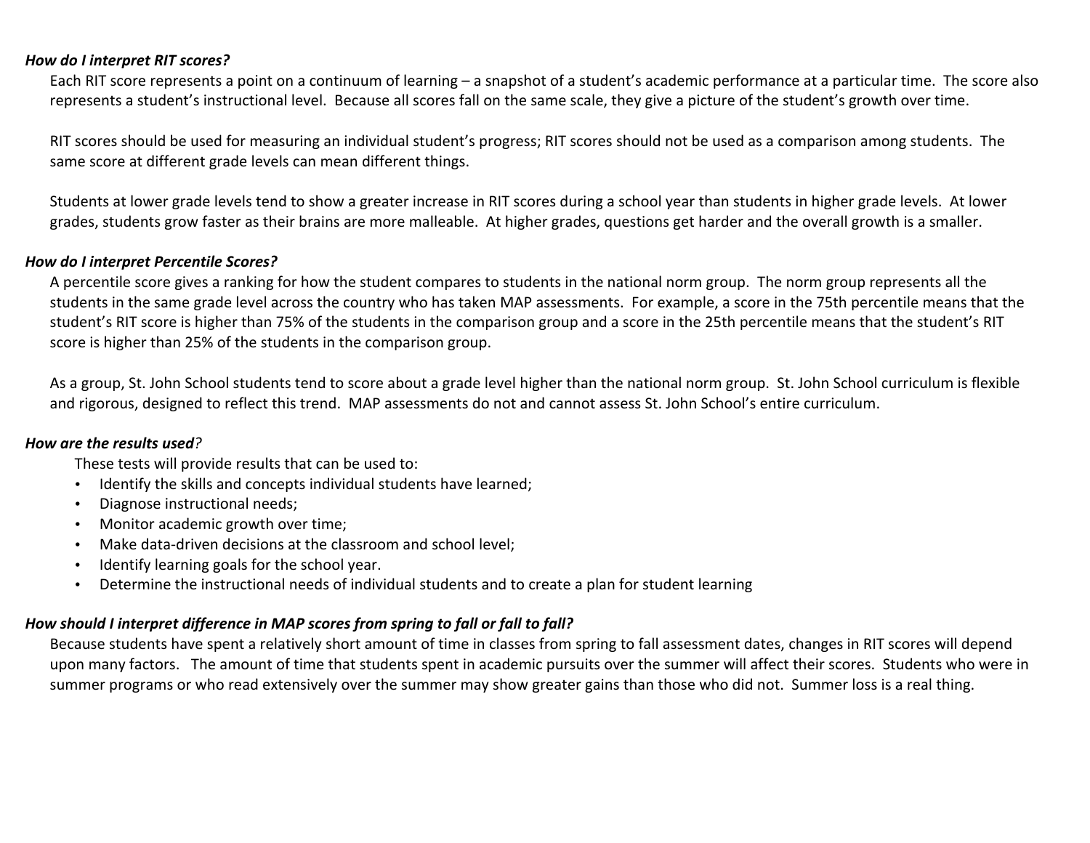#### *How do I interpret RIT scores?*

Each RIT score represents a point on a continuum of learning – a snapshot of a student's academic performance at a particular time. The score also represents a student's instructional level. Because all scores fall on the same scale, they give a picture of the student's growth over time.

RIT scores should be used for measuring an individual student's progress; RIT scores should not be used as a comparison among students. The same score at different grade levels can mean different things.

Students at lower grade levels tend to show a greater increase in RIT scores during a school year than students in higher grade levels. At lower grades, students grow faster as their brains are more malleable. At higher grades, questions get harder and the overall growth is a smaller.

#### *How do I interpret Percentile Scores?*

A percentile score gives a ranking for how the student compares to students in the national norm group. The norm group represents all the students in the same grade level across the country who has taken MAP assessments. For example, a score in the 75th percentile means that the student's RIT score is higher than 75% of the students in the comparison group and a score in the 25th percentile means that the student's RIT score is higher than 25% of the students in the comparison group.

As a group, St. John School students tend to score about a grade level higher than the national norm group. St. John School curriculum is flexible and rigorous, designed to reflect this trend. MAP assessments do not and cannot assess St. John School's entire curriculum.

#### *How are the results used?*

These tests will provide results that can be used to:

- Identify the skills and concepts individual students have learned;
- Diagnose instructional needs;
- Monitor academic growth over time;
- Make data-driven decisions at the classroom and school level;
- Identify learning goals for the school year.
- Determine the instructional needs of individual students and to create a plan for student learning

# How should I interpret difference in MAP scores from spring to fall or fall to fall?

Because students have spent a relatively short amount of time in classes from spring to fall assessment dates, changes in RIT scores will depend upon many factors. The amount of time that students spent in academic pursuits over the summer will affect their scores. Students who were in summer programs or who read extensively over the summer may show greater gains than those who did not. Summer loss is a real thing.